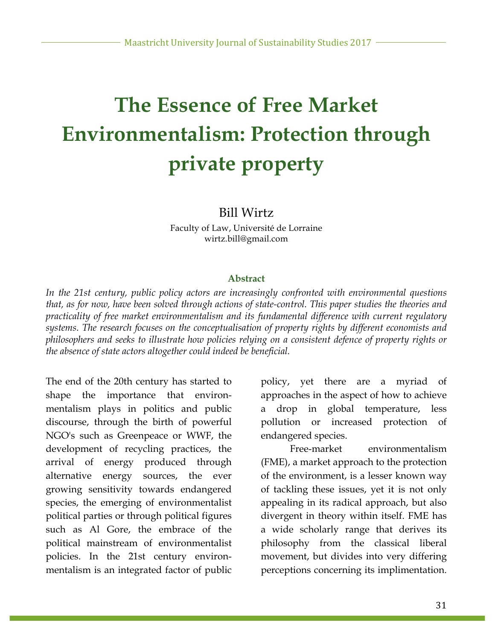# **The Essence of Free Market Environmentalism: Protection through private property**

#### Bill Wirtz

Faculty of Law, Université de Lorraine wirtz.bill@gmail.com

#### **Abstract**

*In the 21st century, public policy actors are increasingly confronted with environmental questions that, as for now, have been solved through actions of state-control. This paper studies the theories and practicality of free market environmentalism and its fundamental difference with current regulatory systems. The research focuses on the conceptualisation of property rights by different economists and philosophers and seeks to illustrate how policies relying on a consistent defence of property rights or the absence of state actors altogether could indeed be beneficial.*

The end of the 20th century has started to shape the importance that environmentalism plays in politics and public discourse, through the birth of powerful NGO's such as Greenpeace or WWF, the development of recycling practices, the arrival of energy produced through alternative energy sources, the ever growing sensitivity towards endangered species, the emerging of environmentalist political parties or through political figures such as Al Gore, the embrace of the political mainstream of environmentalist policies. In the 21st century environmentalism is an integrated factor of public

policy, yet there are a myriad of approaches in the aspect of how to achieve a drop in global temperature, less pollution or increased protection of endangered species.

Free-market environmentalism (FME), a market approach to the protection of the environment, is a lesser known way of tackling these issues, yet it is not only appealing in its radical approach, but also divergent in theory within itself. FME has a wide scholarly range that derives its philosophy from the classical liberal movement, but divides into very differing perceptions concerning its implimentation.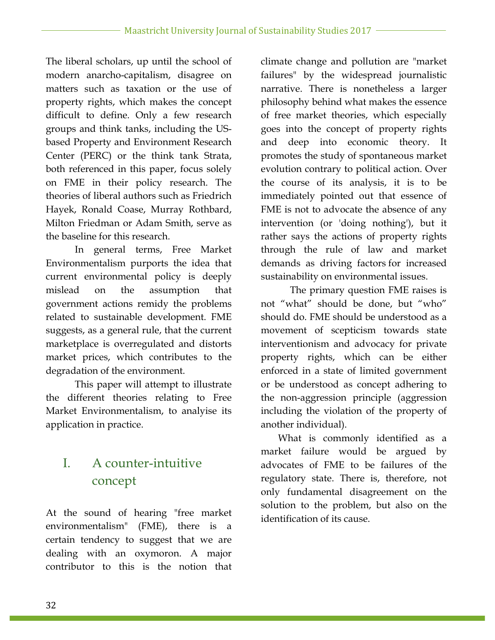The liberal scholars, up until the school of modern anarcho-capitalism, disagree on matters such as taxation or the use of property rights, which makes the concept difficult to define. Only a few research groups and think tanks, including the USbased Property and Environment Research Center (PERC) or the think tank Strata, both referenced in this paper, focus solely on FME in their policy research. The theories of liberal authors such as Friedrich Hayek, Ronald Coase, Murray Rothbard, Milton Friedman or Adam Smith, serve as the baseline for this research.

In general terms, Free Market Environmentalism purports the idea that current environmental policy is deeply mislead on the assumption that government actions remidy the problems related to sustainable development. FME suggests, as a general rule, that the current marketplace is overregulated and distorts market prices, which contributes to the degradation of the environment.

This paper will attempt to illustrate the different theories relating to Free Market Environmentalism, to analyise its application in practice.

# I. A counter-intuitive concept

At the sound of hearing "free market environmentalism" (FME), there is a certain tendency to suggest that we are dealing with an oxymoron. A major contributor to this is the notion that climate change and pollution are "market failures" by the widespread journalistic narrative. There is nonetheless a larger philosophy behind what makes the essence of free market theories, which especially goes into the concept of property rights and deep into economic theory. It promotes the study of spontaneous market evolution contrary to political action. Over the course of its analysis, it is to be immediately pointed out that essence of FME is not to advocate the absence of any intervention (or 'doing nothing'), but it rather says the actions of property rights through the rule of law and market demands as driving factors for increased sustainability on environmental issues.

The primary question FME raises is not "what" should be done, but "who" should do. FME should be understood as a movement of scepticism towards state interventionism and advocacy for private property rights, which can be either enforced in a state of limited government or be understood as concept adhering to the non-aggression principle (aggression including the violation of the property of another individual).

What is commonly identified as a market failure would be argued by advocates of FME to be failures of the regulatory state. There is, therefore, not only fundamental disagreement on the solution to the problem, but also on the identification of its cause.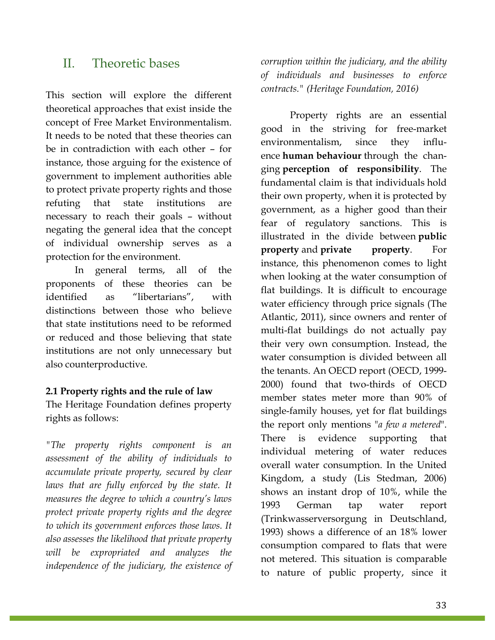## II. Theoretic bases

This section will explore the different theoretical approaches that exist inside the concept of Free Market Environmentalism. It needs to be noted that these theories can be in contradiction with each other – for instance, those arguing for the existence of government to implement authorities able to protect private property rights and those refuting that state institutions are necessary to reach their goals – without negating the general idea that the concept of individual ownership serves as a protection for the environment.

In general terms, all of the proponents of these theories can be identified as "libertarians", with distinctions between those who believe that state institutions need to be reformed or reduced and those believing that state institutions are not only unnecessary but also counterproductive.

#### **2.1 Property rights and the rule of law**

The Heritage Foundation defines property rights as follows:

*"The property rights component is an assessment of the ability of individuals to accumulate private property, secured by clear laws that are fully enforced by the state. It measures the degree to which a country's laws protect private property rights and the degree to which its government enforces those laws. It also assesses the likelihood that private property will be expropriated and analyzes the independence of the judiciary, the existence of*  *corruption within the judiciary, and the ability of individuals and businesses to enforce contracts." (Heritage Foundation, 2016)*

Property rights are an essential good in the striving for free-market environmentalism, since they influence **human behaviour** through the changing **perception of responsibility**. The fundamental claim is that individuals hold their own property, when it is protected by government, as a higher good than their fear of regulatory sanctions. This is illustrated in the divide between **public property** and **private property**. For instance, this phenomenon comes to light when looking at the water consumption of flat buildings. It is difficult to encourage water efficiency through price signals (The Atlantic, 2011), since owners and renter of multi-flat buildings do not actually pay their very own consumption. Instead, the water consumption is divided between all the tenants. An OECD report (OECD, 1999- 2000) found that two-thirds of OECD member states meter more than 90% of single-family houses, yet for flat buildings the report only mentions "*a few a metered*". There is evidence supporting that individual metering of water reduces overall water consumption. In the United Kingdom, a study (Lis Stedman, 2006) shows an instant drop of 10%, while the 1993 German tap water report (Trinkwasserversorgung in Deutschland, 1993) shows a difference of an 18% lower consumption compared to flats that were not metered. This situation is comparable to nature of public property, since it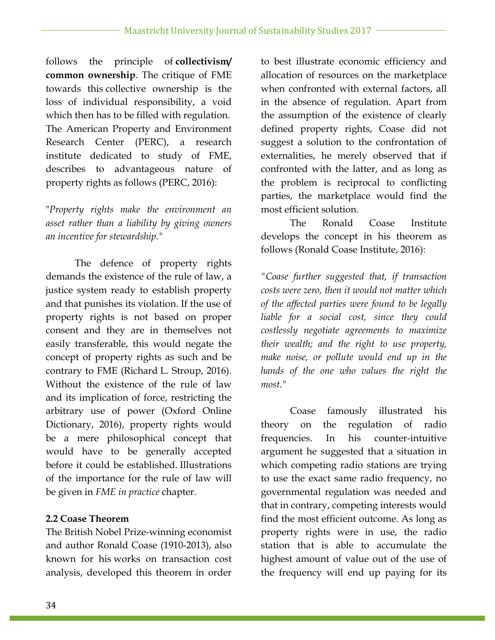follows the principle of **collectivism/ common ownership**. The critique of FME towards this collective ownership is the loss of individual responsibility, a void which then has to be filled with regulation. The American Property and Environment Research Center (PERC), a research institute dedicated to study of FME, describes to advantageous nature of property rights as follows (PERC, 2016):

"*Property rights make the environment an asset rather than a liability by giving owners an incentive for stewardship."*

The defence of property rights demands the existence of the rule of law, a justice system ready to establish property and that punishes its violation. If the use of property rights is not based on proper consent and they are in themselves not easily transferable, this would negate the concept of property rights as such and be contrary to FME (Richard L. Stroup, 2016). Without the existence of the rule of law and its implication of force, restricting the arbitrary use of power (Oxford Online Dictionary, 2016), property rights would be a mere philosophical concept that would have to be generally accepted before it could be established. Illustrations of the importance for the rule of law will be given in *FME in practice* chapter.

#### **2.2 Coase Theorem**

The British Nobel Prize-winning economist and author Ronald Coase (1910-2013), also known for his works on transaction cost analysis, developed this theorem in order

to best illustrate economic efficiency and allocation of resources on the marketplace when confronted with external factors, all in the absence of regulation. Apart from the assumption of the existence of clearly defined property rights, Coase did not suggest a solution to the confrontation of externalities, he merely observed that if confronted with the latter, and as long as the problem is reciprocal to conflicting parties, the marketplace would find the most efficient solution.

The Ronald Coase Institute develops the concept in his theorem as follows (Ronald Coase Institute, 2016):

*"Coase further suggested that, if transaction costs were zero, then it would not matter which of the affected parties were found to be legally liable for a social cost, since they could costlessly negotiate agreements to maximize their wealth; and the right to use property, make noise, or pollute would end up in the hands of the one who values the right the most."*

Coase famously illustrated his theory on the regulation of radio frequencies. In his counter-intuitive argument he suggested that a situation in which competing radio stations are trying to use the exact same radio frequency, no governmental regulation was needed and that in contrary, competing interests would find the most efficient outcome. As long as property rights were in use, the radio station that is able to accumulate the highest amount of value out of the use of the frequency will end up paying for its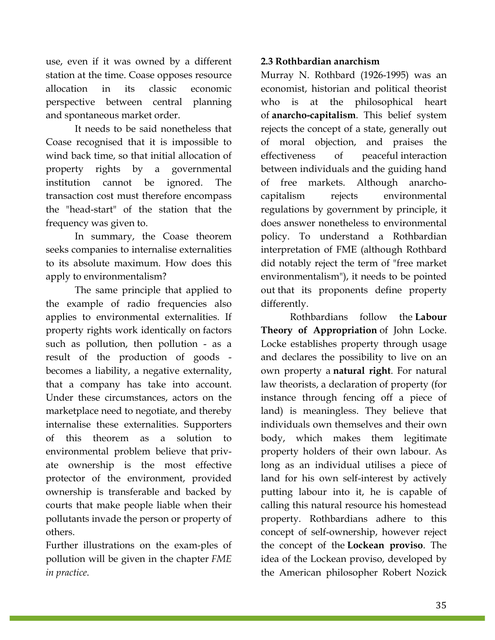use, even if it was owned by a different station at the time. Coase opposes resource allocation in its classic economic perspective between central planning and spontaneous market order.

It needs to be said nonetheless that Coase recognised that it is impossible to wind back time, so that initial allocation of property rights by a governmental institution cannot be ignored. The transaction cost must therefore encompass the "head-start" of the station that the frequency was given to.

In summary, the Coase theorem seeks companies to internalise externalities to its absolute maximum. How does this apply to environmentalism?

The same principle that applied to the example of radio frequencies also applies to environmental externalities. If property rights work identically on factors such as pollution, then pollution - as a result of the production of goods becomes a liability, a negative externality, that a company has take into account. Under these circumstances, actors on the marketplace need to negotiate, and thereby internalise these externalities. Supporters of this theorem as a solution to environmental problem believe that private ownership is the most effective protector of the environment, provided ownership is transferable and backed by courts that make people liable when their pollutants invade the person or property of others.

Further illustrations on the exam-ples of pollution will be given in the chapter *FME in practice*.

#### **2.3 Rothbardian anarchism**

Murray N. Rothbard (1926-1995) was an economist, historian and political theorist who is at the philosophical heart of **anarcho-capitalism**. This belief system rejects the concept of a state, generally out of moral objection, and praises the effectiveness of peaceful interaction between individuals and the guiding hand of free markets. Although anarchocapitalism rejects environmental regulations by government by principle, it does answer nonetheless to environmental policy. To understand a Rothbardian interpretation of FME (although Rothbard did notably reject the term of "free market environmentalism"), it needs to be pointed out that its proponents define property differently.

Rothbardians follow the **Labour Theory of Appropriation** of John Locke. Locke establishes property through usage and declares the possibility to live on an own property a **natural right**. For natural law theorists, a declaration of property (for instance through fencing off a piece of land) is meaningless. They believe that individuals own themselves and their own body, which makes them legitimate property holders of their own labour. As long as an individual utilises a piece of land for his own self-interest by actively putting labour into it, he is capable of calling this natural resource his homestead property. Rothbardians adhere to this concept of self-ownership, however reject the concept of the **Lockean proviso**. The idea of the Lockean proviso, developed by the American philosopher Robert Nozick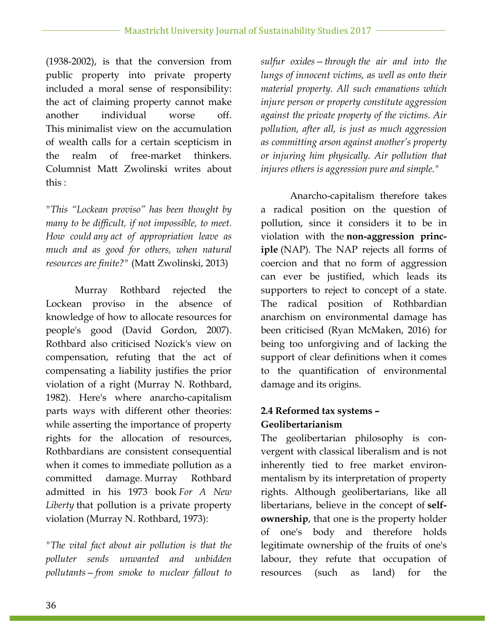(1938-2002), is that the conversion from public property into private property included a moral sense of responsibility: the act of claiming property cannot make another individual worse off. This minimalist view on the accumulation of wealth calls for a certain scepticism in the realm of free-market thinkers. Columnist Matt Zwolinski writes about this :

*"This "Lockean proviso" has been thought by many to be difficult, if not impossible, to meet. How could any act of appropriation leave as much and as good for others, when natural resources are finite?"* (Matt Zwolinski, 2013)

Murray Rothbard rejected the Lockean proviso in the absence of knowledge of how to allocate resources for people's good (David Gordon, 2007). Rothbard also criticised Nozick's view on compensation, refuting that the act of compensating a liability justifies the prior violation of a right (Murray N. Rothbard, 1982). Here's where anarcho-capitalism parts ways with different other theories: while asserting the importance of property rights for the allocation of resources, Rothbardians are consistent consequential when it comes to immediate pollution as a committed damage. Murray Rothbard admitted in his 1973 book *For A New Liberty* that pollution is a private property violation (Murray N. Rothbard, 1973):

*"The vital fact about air pollution is that the polluter sends unwanted and unbidden pollutants—from smoke to nuclear fallout to*  *sulfur oxides—through the air and into the lungs of innocent victims, as well as onto their material property. All such emanations which injure person or property constitute aggression against the private property of the victims. Air pollution, after all, is just as much aggression as committing arson against another's property or injuring him physically. Air pollution that injures others is aggression pure and simple."*

Anarcho-capitalism therefore takes a radical position on the question of pollution, since it considers it to be in violation with the **non-aggression principle** (NAP). The NAP rejects all forms of coercion and that no form of aggression can ever be justified, which leads its supporters to reject to concept of a state. The radical position of Rothbardian anarchism on environmental damage has been criticised (Ryan McMaken, 2016) for being too unforgiving and of lacking the support of clear definitions when it comes to the quantification of environmental damage and its origins.

### **2.4 Reformed tax systems – Geolibertarianism**

The geolibertarian philosophy is convergent with classical liberalism and is not inherently tied to free market environmentalism by its interpretation of property rights. Although geolibertarians, like all libertarians, believe in the concept of **selfownership**, that one is the property holder of one's body and therefore holds legitimate ownership of the fruits of one's labour, they refute that occupation of resources (such as land) for the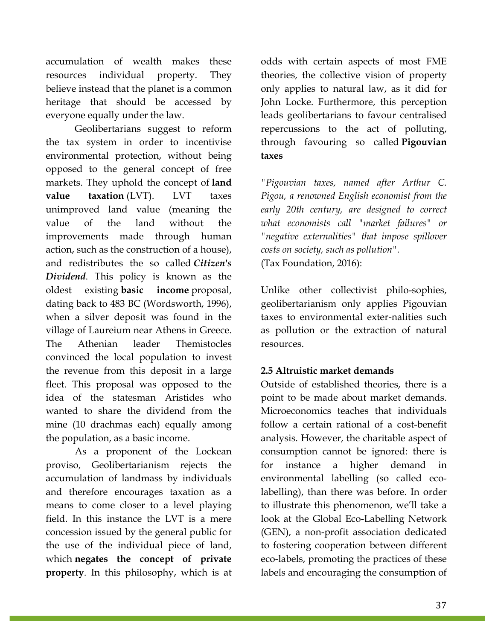accumulation of wealth makes these resources individual property. They believe instead that the planet is a common heritage that should be accessed by everyone equally under the law.

Geolibertarians suggest to reform the tax system in order to incentivise environmental protection, without being opposed to the general concept of free markets. They uphold the concept of **land value taxation** (LVT). LVT **taxes** unimproved land value (meaning the value of the land without the improvements made through human action, such as the construction of a house), and redistributes the so called *Citizen's Dividend*. This policy is known as the oldest existing **basic income** proposal, dating back to 483 BC (Wordsworth, 1996), when a silver deposit was found in the village of Laureium near Athens in Greece. The Athenian leader Themistocles convinced the local population to invest the revenue from this deposit in a large fleet. This proposal was opposed to the idea of the statesman Aristides who wanted to share the dividend from the mine (10 drachmas each) equally among the population, as a basic income.

As a proponent of the Lockean proviso, Geolibertarianism rejects the accumulation of landmass by individuals and therefore encourages taxation as a means to come closer to a level playing field. In this instance the LVT is a mere concession issued by the general public for the use of the individual piece of land, which **negates the concept of private property**. In this philosophy, which is at odds with certain aspects of most FME theories, the collective vision of property only applies to natural law, as it did for John Locke. Furthermore, this perception leads geolibertarians to favour centralised repercussions to the act of polluting, through favouring so called **Pigouvian taxes**

*"Pigouvian taxes, named after Arthur C. Pigou, a renowned English economist from the early 20th century, are designed to correct what economists call "market failures" or "negative externalities" that impose spillover costs on society, such as pollution".*  (Tax Foundation, 2016):

Unlike other collectivist philo-sophies, geolibertarianism only applies Pigouvian taxes to environmental exter-nalities such as pollution or the extraction of natural resources.

#### **2.5 Altruistic market demands**

Outside of established theories, there is a point to be made about market demands. Microeconomics teaches that individuals follow a certain rational of a cost-benefit analysis. However, the charitable aspect of consumption cannot be ignored: there is for instance a higher demand in environmental labelling (so called ecolabelling), than there was before. In order to illustrate this phenomenon, we'll take a look at the Global Eco-Labelling Network (GEN), a non-profit association dedicated to fostering cooperation between different eco-labels, promoting the practices of these labels and encouraging the consumption of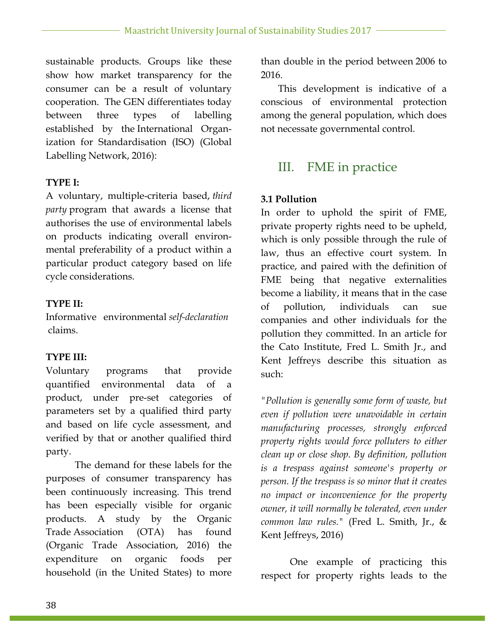sustainable products. Groups like these show how market transparency for the consumer can be a result of voluntary cooperation. The GEN differentiates today between three types of labelling established by the International Organization for Standardisation (ISO) (Global Labelling Network, 2016):

#### **TYPE I:**

A voluntary, multiple-criteria based, *third party* program that awards a license that authorises the use of environmental labels on products indicating overall environmental preferability of a product within a particular product category based on life cycle considerations.

#### **TYPE II:**

Informative environmental *self-declaration*claims.

#### **TYPE III:**

Voluntary programs that provide quantified environmental data of a product, under pre-set categories of parameters set by a qualified third party and based on life cycle assessment, and verified by that or another qualified third party.

The demand for these labels for the purposes of consumer transparency has been continuously increasing. This trend has been especially visible for organic products. A study by the Organic Trade Association (OTA) has found (Organic Trade Association, 2016) the expenditure on organic foods per household (in the United States) to more

than double in the period between 2006 to 2016.

This development is indicative of a conscious of environmental protection among the general population, which does not necessate governmental control.

## III. FME in practice

#### **3.1 Pollution**

In order to uphold the spirit of FME, private property rights need to be upheld, which is only possible through the rule of law, thus an effective court system. In practice, and paired with the definition of FME being that negative externalities become a liability, it means that in the case of pollution, individuals can sue companies and other individuals for the pollution they committed. In an article for the Cato Institute, Fred L. Smith Jr., and Kent Jeffreys describe this situation as such:

*"Pollution is generally some form of waste, but even if pollution were unavoidable in certain manufacturing processes, strongly enforced property rights would force polluters to either clean up or close shop. By definition, pollution is a trespass against someone's property or person. If the trespass is so minor that it creates no impact or inconvenience for the property owner, it will normally be tolerated, even under common law rules."* (Fred L. Smith, Jr., & Kent Jeffreys, 2016)

One example of practicing this respect for property rights leads to the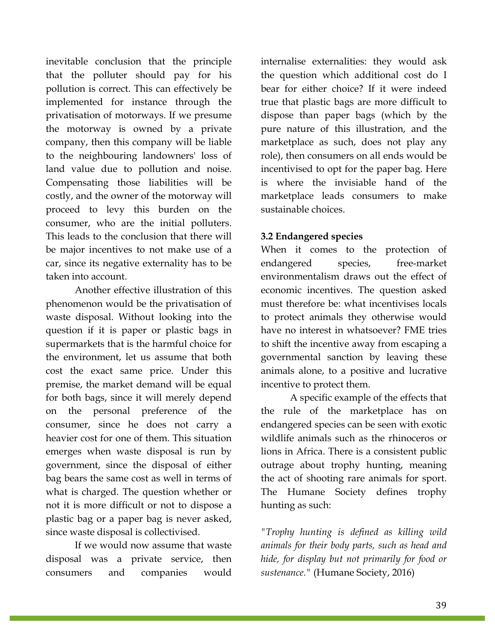inevitable conclusion that the principle that the polluter should pay for his pollution is correct. This can effectively be implemented for instance through the privatisation of motorways. If we presume the motorway is owned by a private company, then this company will be liable to the neighbouring landowners' loss of land value due to pollution and noise. Compensating those liabilities will be costly, and the owner of the motorway will proceed to levy this burden on the consumer, who are the initial polluters. This leads to the conclusion that there will be major incentives to not make use of a car, since its negative externality has to be taken into account.

Another effective illustration of this phenomenon would be the privatisation of waste disposal. Without looking into the question if it is paper or plastic bags in supermarkets that is the harmful choice for the environment, let us assume that both cost the exact same price. Under this premise, the market demand will be equal for both bags, since it will merely depend on the personal preference of the consumer, since he does not carry a heavier cost for one of them. This situation emerges when waste disposal is run by government, since the disposal of either bag bears the same cost as well in terms of what is charged. The question whether or not it is more difficult or not to dispose a plastic bag or a paper bag is never asked, since waste disposal is collectivised.

If we would now assume that waste disposal was a private service, then consumers and companies would internalise externalities: they would ask the question which additional cost do I bear for either choice? If it were indeed true that plastic bags are more difficult to dispose than paper bags (which by the pure nature of this illustration, and the marketplace as such, does not play any role), then consumers on all ends would be incentivised to opt for the paper bag. Here is where the invisiable hand of the marketplace leads consumers to make sustainable choices.

#### **3.2 Endangered species**

When it comes to the protection of endangered species, free-market environmentalism draws out the effect of economic incentives. The question asked must therefore be: what incentivises locals to protect animals they otherwise would have no interest in whatsoever? FME tries to shift the incentive away from escaping a governmental sanction by leaving these animals alone, to a positive and lucrative incentive to protect them.

A specific example of the effects that the rule of the marketplace has on endangered species can be seen with exotic wildlife animals such as the rhinoceros or lions in Africa. There is a consistent public outrage about trophy hunting, meaning the act of shooting rare animals for sport. The Humane Society defines trophy hunting as such:

*"Trophy hunting is defined as killing wild animals for their body parts, such as head and hide, for display but not primarily for food or sustenance."* (Humane Society, 2016)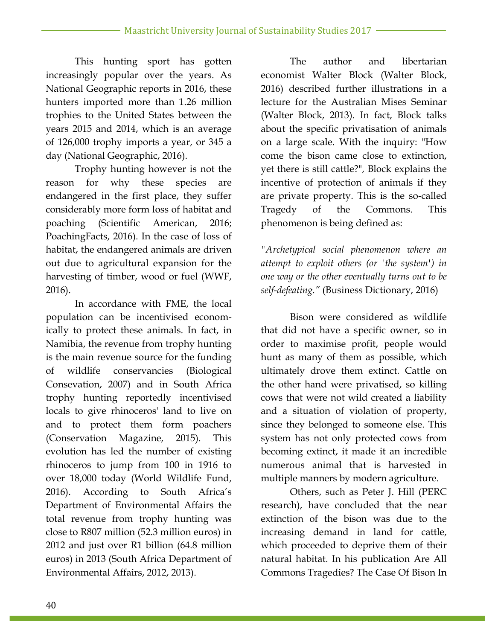This hunting sport has gotten increasingly popular over the years. As National Geographic reports in 2016, these hunters imported more than 1.26 million trophies to the United States between the years 2015 and 2014, which is an average of 126,000 trophy imports a year, or 345 a day (National Geographic, 2016).

Trophy hunting however is not the reason for why these species are endangered in the first place, they suffer considerably more form loss of habitat and poaching (Scientific American, 2016; PoachingFacts, 2016). In the case of loss of habitat, the endangered animals are driven out due to agricultural expansion for the harvesting of timber, wood or fuel (WWF, 2016).

In accordance with FME, the local population can be incentivised economically to protect these animals. In fact, in Namibia, the revenue from trophy hunting is the main revenue source for the funding of wildlife conservancies (Biological Consevation, 2007) and in South Africa trophy hunting reportedly incentivised locals to give rhinoceros' land to live on and to protect them form poachers (Conservation Magazine, 2015). This evolution has led the number of existing rhinoceros to jump from 100 in 1916 to over 18,000 today (World Wildlife Fund, 2016). According to South Africa's Department of Environmental Affairs the total revenue from trophy hunting was close to R807 million (52.3 million euros) in 2012 and just over R1 billion (64.8 million euros) in 2013 (South Africa Department of Environmental Affairs, 2012, 2013).

The author and libertarian economist Walter Block (Walter Block, 2016) described further illustrations in a lecture for the Australian Mises Seminar (Walter Block, 2013). In fact, Block talks about the specific privatisation of animals on a large scale. With the inquiry: "How come the bison came close to extinction, yet there is still cattle?", Block explains the incentive of protection of animals if they are private property. This is the so-called Tragedy of the Commons. This phenomenon is being defined as:

*"Archetypical social phenomenon where an attempt to exploit others (or 'the system') in one way or the other eventually turns out to be self-defeating."* (Business Dictionary, 2016)

Bison were considered as wildlife that did not have a specific owner, so in order to maximise profit, people would hunt as many of them as possible, which ultimately drove them extinct. Cattle on the other hand were privatised, so killing cows that were not wild created a liability and a situation of violation of property, since they belonged to someone else. This system has not only protected cows from becoming extinct, it made it an incredible numerous animal that is harvested in multiple manners by modern agriculture.

Others, such as Peter J. Hill (PERC research), have concluded that the near extinction of the bison was due to the increasing demand in land for cattle, which proceeded to deprive them of their natural habitat. In his publication Are All Commons Tragedies? The Case Of Bison In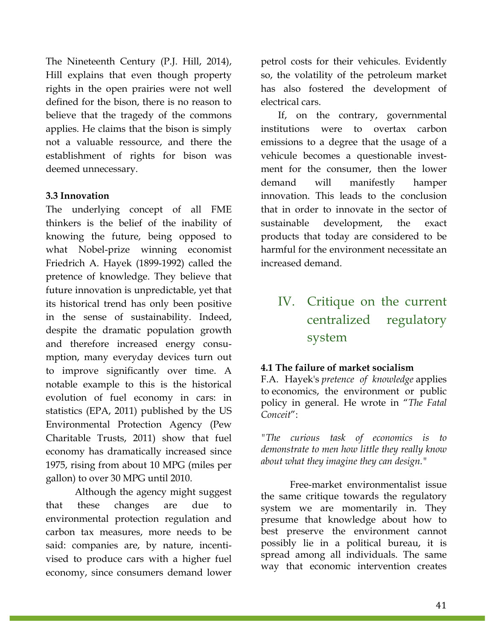The Nineteenth Century (P.J. Hill, 2014), Hill explains that even though property rights in the open prairies were not well defined for the bison, there is no reason to believe that the tragedy of the commons applies. He claims that the bison is simply not a valuable ressource, and there the establishment of rights for bison was deemed unnecessary.

#### **3.3 Innovation**

The underlying concept of all FME thinkers is the belief of the inability of knowing the future, being opposed to what Nobel-prize winning economist Friedrich A. Hayek (1899-1992) called the pretence of knowledge. They believe that future innovation is unpredictable, yet that its historical trend has only been positive in the sense of sustainability. Indeed, despite the dramatic population growth and therefore increased energy consumption, many everyday devices turn out to improve significantly over time. A notable example to this is the historical evolution of fuel economy in cars: in statistics (EPA, 2011) published by the US Environmental Protection Agency (Pew Charitable Trusts, 2011) show that fuel economy has dramatically increased since 1975, rising from about 10 MPG (miles per gallon) to over 30 MPG until 2010.

Although the agency might suggest that these changes are due to environmental protection regulation and carbon tax measures, more needs to be said: companies are, by nature, incentivised to produce cars with a higher fuel economy, since consumers demand lower petrol costs for their vehicules. Evidently so, the volatility of the petroleum market has also fostered the development of electrical cars.

If, on the contrary, governmental institutions were to overtax carbon emissions to a degree that the usage of a vehicule becomes a questionable investment for the consumer, then the lower demand will manifestly hamper innovation. This leads to the conclusion that in order to innovate in the sector of sustainable development, the exact products that today are considered to be harmful for the environment necessitate an increased demand.

## IV. Critique on the current centralized regulatory system

#### **4.1 The failure of market socialism**

F.A. Hayek's *pretence of knowledge* applies to economics, the environment or public policy in general. He wrote in "*The Fatal Conceit*":

*"The curious task of economics is to demonstrate to men how little they really know about what they imagine they can design."*

Free-market environmentalist issue the same critique towards the regulatory system we are momentarily in. They presume that knowledge about how to best preserve the environment cannot possibly lie in a political bureau, it is spread among all individuals. The same way that economic intervention creates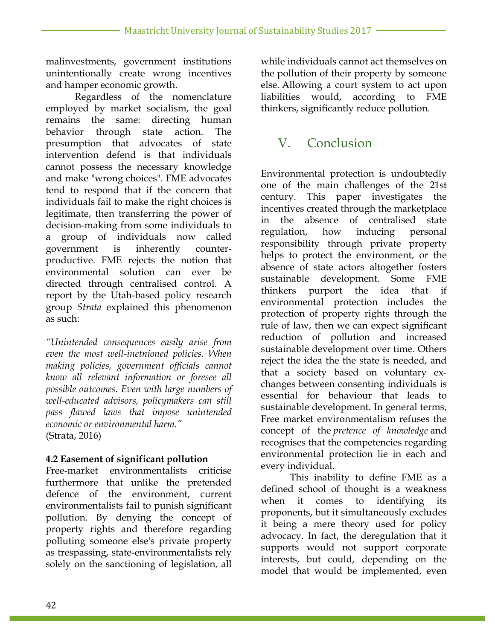malinvestments, government institutions unintentionally create wrong incentives and hamper economic growth.

Regardless of the nomenclature employed by market socialism, the goal remains the same: directing human behavior through state action. The presumption that advocates of state intervention defend is that individuals cannot possess the necessary knowledge and make "wrong choices". FME advocates tend to respond that if the concern that individuals fail to make the right choices is legitimate, then transferring the power of decision-making from some individuals to a group of individuals now called government is inherently counterproductive. FME rejects the notion that environmental solution can ever be directed through centralised control. A report by the Utah-based policy research group *Strata* explained this phenomenon as such:

*"Unintended consequences easily arise from even the most well-inetnioned policies. When making policies, government officials cannot know all relevant information or foresee all possible outcomes. Even with large numbers of well-educated advisors, policymakers can still pass flawed laws that impose unintended economic or environmental harm."* (Strata, 2016)

#### **4.2 Easement of significant pollution**

Free-market environmentalists criticise furthermore that unlike the pretended defence of the environment, current environmentalists fail to punish significant pollution. By denying the concept of property rights and therefore regarding polluting someone else's private property as trespassing, state-environmentalists rely solely on the sanctioning of legislation, all

while individuals cannot act themselves on the pollution of their property by someone else. Allowing a court system to act upon liabilities would, according to FME thinkers, significantly reduce pollution.

## V. Conclusion

Environmental protection is undoubtedly one of the main challenges of the 21st century. This paper investigates the incentives created through the marketplace in the absence of centralised state regulation, how inducing personal responsibility through private property helps to protect the environment, or the absence of state actors altogether fosters sustainable development. Some FME thinkers purport the idea that if environmental protection includes the protection of property rights through the rule of law, then we can expect significant reduction of pollution and increased sustainable development over time. Others reject the idea the the state is needed, and that a society based on voluntary exchanges between consenting individuals is essential for behaviour that leads to sustainable development. In general terms, Free market environmentalism refuses the concept of the *pretence of knowledge* and recognises that the competencies regarding environmental protection lie in each and every individual.

This inability to define FME as a defined school of thought is a weakness when it comes to identifying its proponents, but it simultaneously excludes it being a mere theory used for policy advocacy. In fact, the deregulation that it supports would not support corporate interests, but could, depending on the model that would be implemented, even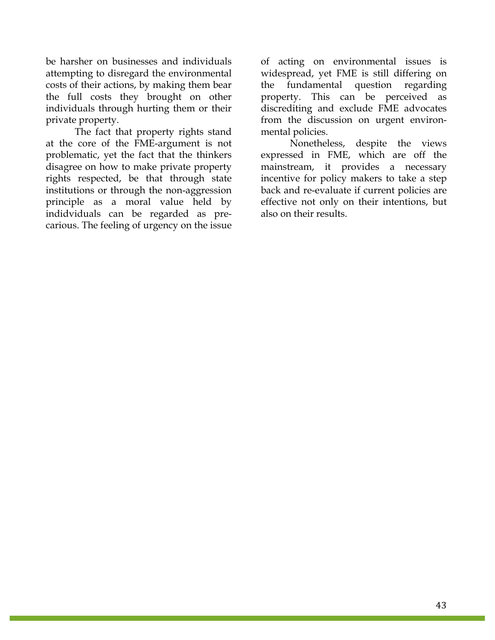be harsher on businesses and individuals attempting to disregard the environmental costs of their actions, by making them bear the full costs they brought on other individuals through hurting them or their private property.

The fact that property rights stand at the core of the FME-argument is not problematic, yet the fact that the thinkers disagree on how to make private property rights respected, be that through state institutions or through the non-aggression principle as a moral value held by indidviduals can be regarded as precarious. The feeling of urgency on the issue

of acting on environmental issues is widespread, yet FME is still differing on the fundamental question regarding property. This can be perceived as discrediting and exclude FME advocates from the discussion on urgent environmental policies.

Nonetheless, despite the views expressed in FME, which are off the mainstream, it provides a necessary incentive for policy makers to take a step back and re-evaluate if current policies are effective not only on their intentions, but also on their results.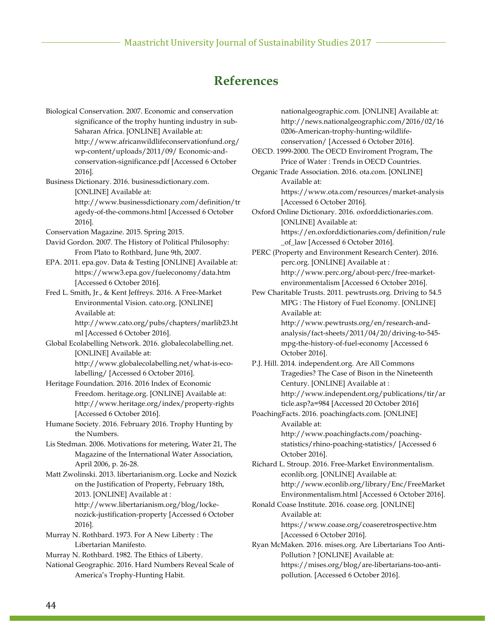## **References**

Biological Conservation. 2007. Economic and conservation significance of the trophy hunting industry in sub-Saharan Africa. [ONLINE] Available at: http://www.africanwildlifeconservationfund.org/ wp-content/uploads/2011/09/ Economic-andconservation-significance.pdf [Accessed 6 October 2016]. Business Dictionary. 2016. businessdictionary.com. [ONLINE] Available at: http://www.businessdictionary.com/definition/tr agedy-of-the-commons.html [Accessed 6 October 2016]. Conservation Magazine. 2015. Spring 2015. David Gordon. 2007. The History of Political Philosophy: From Plato to Rothbard, June 9th, 2007. EPA. 2011. epa.gov. Data & Testing [ONLINE] Available at: https://www3.epa.gov/fueleconomy/data.htm [Accessed 6 October 2016]. Fred L. Smith, Jr., & Kent Jeffreys. 2016. A Free-Market Environmental Vision. cato.org. [ONLINE] Available at: http://www.cato.org/pubs/chapters/marlib23.ht ml [Accessed 6 October 2016]. Global Ecolabelling Network. 2016. globalecolabelling.net. [ONLINE] Available at: http://www.globalecolabelling.net/what-is-ecolabelling/ [Accessed 6 October 2016]. Heritage Foundation. 2016. 2016 Index of Economic Freedom. heritage.org. [ONLINE] Available at: http://www.heritage.org/index/property-rights [Accessed 6 October 2016]. Humane Society. 2016. February 2016. Trophy Hunting by the Numbers. Lis Stedman. 2006. Motivations for metering, Water 21, The Magazine of the International Water Association, April 2006, p. 26-28. Matt Zwolinski. 2013. libertarianism.org. Locke and Nozick on the Justification of Property, February 18th, 2013. [ONLINE] Available at : http://www.libertarianism.org/blog/lockenozick-justification-property [Accessed 6 October 2016]. Murray N. Rothbard. 1973. For A New Liberty : The Libertarian Manifesto. Murray N. Rothbard. 1982. The Ethics of Liberty. National Geographic. 2016. Hard Numbers Reveal Scale of America's Trophy-Hunting Habit.

nationalgeographic.com. [ONLINE] Available at: http://news.nationalgeographic.com/2016/02/16 0206-American-trophy-hunting-wildlifeconservation/ [Accessed 6 October 2016]. OECD. 1999-2000. The OECD Enviroment Program, The Price of Water : Trends in OECD Countries. Organic Trade Association. 2016. ota.com. [ONLINE] Available at: https://www.ota.com/resources/market-analysis [Accessed 6 October 2016]. Oxford Online Dictionary. 2016. oxforddictionaries.com. [ONLINE] Available at: https://en.oxforddictionaries.com/definition/rule \_of\_law [Accessed 6 October 2016]. PERC (Property and Environment Research Center). 2016. perc.org. [ONLINE] Available at : http://www.perc.org/about-perc/free-marketenvironmentalism [Accessed 6 October 2016]. Pew Charitable Trusts. 2011. pewtrusts.org. Driving to 54.5 MPG : The History of Fuel Economy. [ONLINE] Available at: http://www.pewtrusts.org/en/research-andanalysis/fact-sheets/2011/04/20/driving-to-545 mpg-the-history-of-fuel-economy [Accessed 6 October 2016]. P.J. Hill. 2014. independent.org. Are All Commons Tragedies? The Case of Bison in the Nineteenth Century. [ONLINE] Available at : http://www.independent.org/publications/tir/ar ticle.asp?a=984 [Accessed 20 October 2016] PoachingFacts. 2016. poachingfacts.com. [ONLINE] Available at: http://www.poachingfacts.com/poachingstatistics/rhino-poaching-statistics/ [Accessed 6 October 2016]. Richard L. Stroup. 2016. Free-Market Environmentalism. econlib.org. [ONLINE] Available at: http://www.econlib.org/library/Enc/FreeMarket Environmentalism.html [Accessed 6 October 2016]. Ronald Coase Institute. 2016. coase.org. [ONLINE] Available at: https://www.coase.org/coaseretrospective.htm [Accessed 6 October 2016]. Ryan McMaken. 2016. mises.org. Are Libertarians Too Anti-Pollution ? [ONLINE] Available at:

https://mises.org/blog/are-libertarians-too-antipollution. [Accessed 6 October 2016].